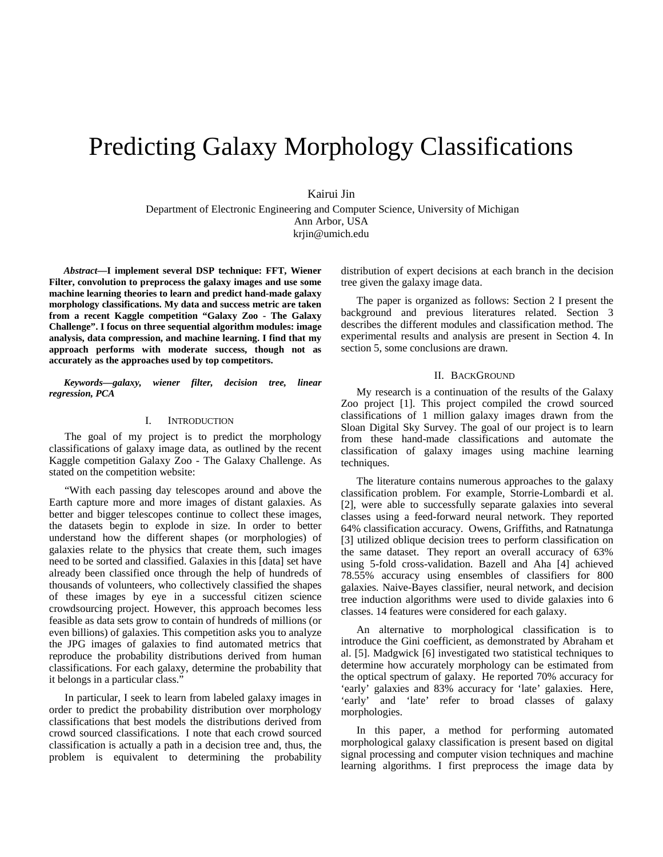# Predicting Galaxy Morphology Classifications

Kairui Jin

Department of Electronic Engineering and Computer Science, University of Michigan Ann Arbor, USA krjin@umich.edu

*Abstract***—I implement several DSP technique: FFT, Wiener Filter, convolution to preprocess the galaxy images and use some machine learning theories to learn and predict hand-made galaxy morphology classifications. My data and success metric are taken from a recent Kaggle competition "Galaxy Zoo - The Galaxy Challenge". I focus on three sequential algorithm modules: image analysis, data compression, and machine learning. I find that my approach performs with moderate success, though not as accurately as the approaches used by top competitors.**

*Keywords—galaxy, wiener filter, decision tree, linear regression, PCA*

### I. INTRODUCTION

The goal of my project is to predict the morphology classifications of galaxy image data, as outlined by the recent Kaggle competition Galaxy Zoo - The Galaxy Challenge. As stated on the competition website:

"With each passing day telescopes around and above the Earth capture more and more images of distant galaxies. As better and bigger telescopes continue to collect these images, the datasets begin to explode in size. In order to better understand how the different shapes (or morphologies) of galaxies relate to the physics that create them, such images need to be sorted and classified. Galaxies in this [data] set have already been classified once through the help of hundreds of thousands of volunteers, who collectively classified the shapes of these images by eye in a successful [citizen science](http://www.galaxyzoo.org/%23/classify) crowdsourcing project. However, this approach becomes less feasible as data sets grow to contain of hundreds of millions (or even billions) of galaxies. This competition asks you to analyze the JPG images of galaxies to find automated metrics that reproduce the probability distributions derived from human classifications. For each galaxy, determine the probability that it belongs in a particular class."

In particular, I seek to learn from labeled galaxy images in order to predict the probability distribution over morphology classifications that best models the distributions derived from crowd sourced classifications. I note that each crowd sourced classification is actually a path in a decision tree and, thus, the problem is equivalent to determining the probability

distribution of expert decisions at each branch in the decision tree given the galaxy image data.

The paper is organized as follows: Section 2 I present the background and previous literatures related. Section 3 describes the different modules and classification method. The experimental results and analysis are present in Section 4. In section 5, some conclusions are drawn.

## II. BACKGROUND

My research is a continuation of the results of the Galaxy Zoo project [1]. This project compiled the crowd sourced classifications of 1 million galaxy images drawn from the Sloan Digital Sky Survey. The goal of our project is to learn from these hand-made classifications and automate the classification of galaxy images using machine learning techniques.

The literature contains numerous approaches to the galaxy classification problem. For example, Storrie-Lombardi et al. [2], were able to successfully separate galaxies into several classes using a feed-forward neural network. They reported 64% classification accuracy. Owens, Griffiths, and Ratnatunga [3] utilized oblique decision trees to perform classification on the same dataset. They report an overall accuracy of 63% using 5-fold cross-validation. Bazell and Aha [4] achieved 78.55% accuracy using ensembles of classifiers for 800 galaxies. Naive-Bayes classifier, neural network, and decision tree induction algorithms were used to divide galaxies into 6 classes. 14 features were considered for each galaxy.

An alternative to morphological classification is to introduce the Gini coefficient, as demonstrated by Abraham et al. [5]. Madgwick [6] investigated two statistical techniques to determine how accurately morphology can be estimated from the optical spectrum of galaxy. He reported 70% accuracy for 'early' galaxies and 83% accuracy for 'late' galaxies. Here, 'early' and 'late' refer to broad classes of galaxy morphologies.

In this paper, a method for performing automated morphological galaxy classification is present based on digital signal processing and computer vision techniques and machine learning algorithms. I first preprocess the image data by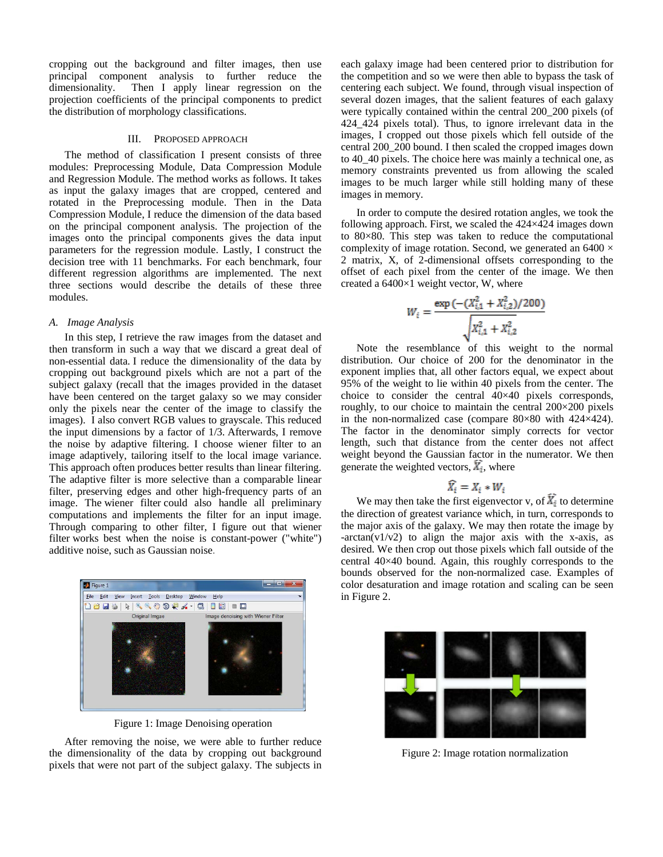cropping out the background and filter images, then use principal component analysis to further reduce the dimensionality. Then I apply linear regression on the projection coefficients of the principal components to predict the distribution of morphology classifications.

# III. PROPOSED APPROACH

The method of classification I present consists of three modules: Preprocessing Module, Data Compression Module and Regression Module. The method works as follows. It takes as input the galaxy images that are cropped, centered and rotated in the Preprocessing module. Then in the Data Compression Module, I reduce the dimension of the data based on the principal component analysis. The projection of the images onto the principal components gives the data input parameters for the regression module. Lastly, I construct the decision tree with 11 benchmarks. For each benchmark, four different regression algorithms are implemented. The next three sections would describe the details of these three modules.

#### *A. Image Analysis*

In this step, I retrieve the raw images from the dataset and then transform in such a way that we discard a great deal of non-essential data. I reduce the dimensionality of the data by cropping out background pixels which are not a part of the subject galaxy (recall that the images provided in the dataset have been centered on the target galaxy so we may consider only the pixels near the center of the image to classify the images). I also convert RGB values to grayscale. This reduced the input dimensions by a factor of 1/3. Afterwards, I remove the noise by adaptive filtering. I choose wiener filter to an image adaptively, tailoring itself to the local image variance. This approach often produces better results than linear filtering. The adaptive filter is more selective than a comparable linear filter, preserving edges and other high-frequency parts of an image. The wiener filter could also handle all preliminary computations and implements the filter for an input image. Through comparing to other filter, I figure out that wiener filter works best when the noise is constant-power ("white") additive noise, such as Gaussian noise.



Figure 1: Image Denoising operation

After removing the noise, we were able to further reduce the dimensionality of the data by cropping out background pixels that were not part of the subject galaxy. The subjects in each galaxy image had been centered prior to distribution for the competition and so we were then able to bypass the task of centering each subject. We found, through visual inspection of several dozen images, that the salient features of each galaxy were typically contained within the central 200\_200 pixels (of 424\_424 pixels total). Thus, to ignore irrelevant data in the images, I cropped out those pixels which fell outside of the central 200\_200 bound. I then scaled the cropped images down to 40\_40 pixels. The choice here was mainly a technical one, as memory constraints prevented us from allowing the scaled images to be much larger while still holding many of these images in memory.

In order to compute the desired rotation angles, we took the following approach. First, we scaled the 424×424 images down to 80×80. This step was taken to reduce the computational complexity of image rotation. Second, we generated an  $6400 \times$ 2 matrix, X, of 2-dimensional offsets corresponding to the offset of each pixel from the center of the image. We then created a  $6400\times1$  weight vector, W, where

$$
W_i = \frac{\exp\left(-(X_{i,1}^2 + X_{i,2}^2)/200\right)}{\sqrt{X_{i,1}^2 + X_{i,2}^2}}
$$

Note the resemblance of this weight to the normal distribution. Our choice of 200 for the denominator in the exponent implies that, all other factors equal, we expect about 95% of the weight to lie within 40 pixels from the center. The choice to consider the central 40×40 pixels corresponds, roughly, to our choice to maintain the central 200×200 pixels in the non-normalized case (compare 80×80 with 424×424). The factor in the denominator simply corrects for vector length, such that distance from the center does not affect weight beyond the Gaussian factor in the numerator. We then generate the weighted vectors,  $\overline{X}_{\overline{i}}$ , where

$$
\widehat{X_i} = X_i * W_i
$$

We may then take the first eigenvector v, of  $\widetilde{X}_i$  to determine the direction of greatest variance which, in turn, corresponds to the major axis of the galaxy. We may then rotate the image by  $-\arctan(v1/v2)$  to align the major axis with the x-axis, as desired. We then crop out those pixels which fall outside of the central 40×40 bound. Again, this roughly corresponds to the bounds observed for the non-normalized case. Examples of color desaturation and image rotation and scaling can be seen in Figure 2.



Figure 2: Image rotation normalization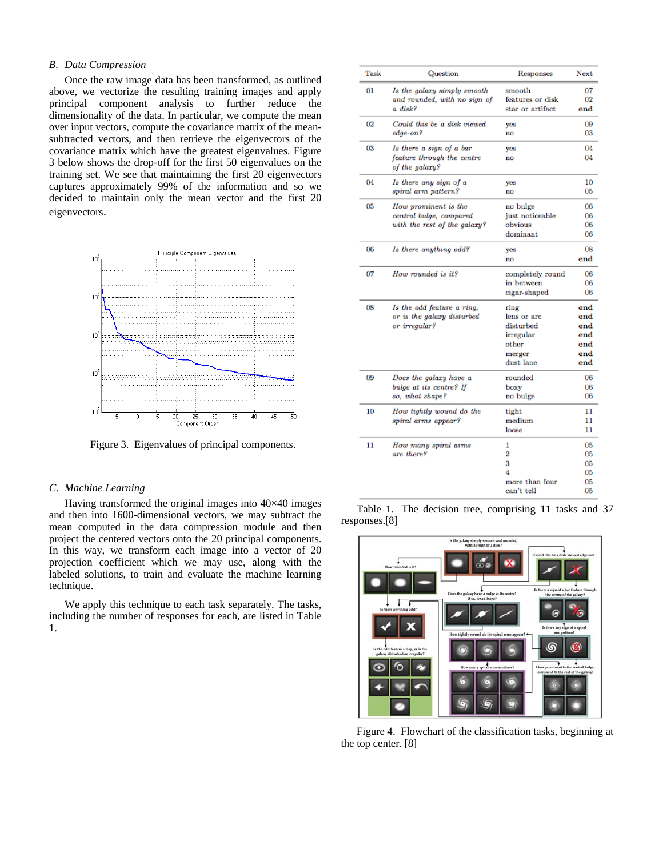## *B. Data Compression*

Once the raw image data has been transformed, as outlined above, we vectorize the resulting training images and apply principal component analysis to further reduce the dimensionality of the data. In particular, we compute the mean over input vectors, compute the covariance matrix of the meansubtracted vectors, and then retrieve the eigenvectors of the covariance matrix which have the greatest eigenvalues. Figure 3 below shows the drop-off for the first 50 eigenvalues on the training set. We see that maintaining the first 20 eigenvectors captures approximately 99% of the information and so we decided to maintain only the mean vector and the first 20 eigenvectors.



Figure 3. Eigenvalues of principal components.

## *C. Machine Learning*

Having transformed the original images into 40×40 images and then into 1600-dimensional vectors, we may subtract the mean computed in the data compression module and then project the centered vectors onto the 20 principal components. In this way, we transform each image into a vector of 20 projection coefficient which we may use, along with the labeled solutions, to train and evaluate the machine learning technique.

We apply this technique to each task separately. The tasks, including the number of responses for each, are listed in Table 1.

| Task | Question                                     | Responses           | Next         |
|------|----------------------------------------------|---------------------|--------------|
| 01   | Is the galaxy simply smooth                  | smooth              | 07           |
|      | and rounded, with no sign of                 | features or disk    | 02           |
|      | a disk?                                      | star or artifact    | end          |
| 02   | Could this be a disk viewed                  | yes                 | 09           |
|      | $edge-on?$                                   | no                  | 03           |
| 03   | Is there a sign of a bar                     | yes                 | 04           |
|      | feature through the centre<br>of the galaxy? | no                  | 04           |
| 04   | Is there any sign of a                       | yes                 | 10           |
|      | spiral arm pattern?                          | $\mathbf{no}$       | 05           |
| 05   | How prominent is the                         | no bulge            | 06           |
|      | central bulge, compared                      | just noticeable     | 06           |
|      | with the rest of the galaxy?                 | obvious             | 06           |
|      |                                              | dominant            | 06           |
| 06   | Is there anything odd?                       | yes                 | 08           |
|      |                                              | no                  | $_{\rm end}$ |
| 07   | How rounded is it?                           | completely round    | 06           |
|      |                                              | in between          | 06           |
|      |                                              | cigar-shaped        | 06           |
| 08   | Is the odd feature a ring,                   | ring                | end          |
|      | or is the galaxy disturbed                   | lens or arc         | end          |
|      | or irregular?                                | disturbed           | end          |
|      |                                              | irregular           | end          |
|      |                                              | other               | end          |
|      |                                              | merger<br>dust lane | end<br>end   |
| 09   | Does the galaxy have a                       | rounded             | 06           |
|      | bulge at its centre? If                      | boxy                | 06           |
|      | so, what shape?                              | no bulge            | 06           |
| 10   | How tightly wound do the                     | tight               | 11           |
|      | spiral arms appear?                          | medium              | 11           |
|      |                                              | loose               | 11           |
| 11   | How many spiral arms                         | 1                   | 05           |
|      | are there?                                   | $\overline{2}$      | 05           |
|      |                                              | 3                   | 05           |
|      |                                              | 4                   | 05           |
|      |                                              | more than four      | 05           |
|      |                                              | can't tell          | 05           |

Table 1. The decision tree, comprising 11 tasks and 37 responses.[8]



Figure 4. Flowchart of the classification tasks, beginning at the top center. [8]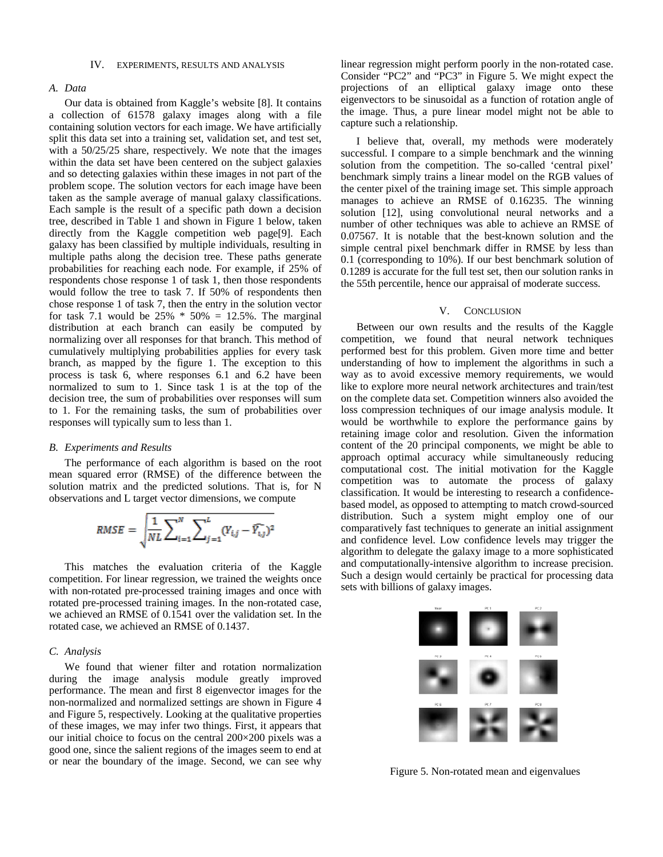#### IV. EXPERIMENTS, RESULTS AND ANALYSIS

## *A. Data*

Our data is obtained from Kaggle's website [8]. It contains a collection of 61578 galaxy images along with a file containing solution vectors for each image. We have artificially split this data set into a training set, validation set, and test set, with a 50/25/25 share, respectively. We note that the images within the data set have been centered on the subject galaxies and so detecting galaxies within these images in not part of the problem scope. The solution vectors for each image have been taken as the sample average of manual galaxy classifications. Each sample is the result of a specific path down a decision tree, described in Table 1 and shown in Figure 1 below, taken directly from the Kaggle competition web page[9]. Each galaxy has been classified by multiple individuals, resulting in multiple paths along the decision tree. These paths generate probabilities for reaching each node. For example, if 25% of respondents chose response 1 of task 1, then those respondents would follow the tree to task 7. If 50% of respondents then chose response 1 of task 7, then the entry in the solution vector for task 7.1 would be  $25\% * 50\% = 12.5\%$ . The marginal distribution at each branch can easily be computed by normalizing over all responses for that branch. This method of cumulatively multiplying probabilities applies for every task branch, as mapped by the figure 1. The exception to this process is task 6, where responses 6.1 and 6.2 have been normalized to sum to 1. Since task 1 is at the top of the decision tree, the sum of probabilities over responses will sum to 1. For the remaining tasks, the sum of probabilities over responses will typically sum to less than 1.

#### *B. Experiments and Results*

The performance of each algorithm is based on the root mean squared error (RMSE) of the difference between the solution matrix and the predicted solutions. That is, for N observations and L target vector dimensions, we compute

RMSE = 
$$
\sqrt{\frac{1}{NL} \sum_{i=1}^{N} \sum_{j=1}^{L} (Y_{i,j} - \bar{Y}_{i,j})^2}
$$

This matches the evaluation criteria of the Kaggle competition. For linear regression, we trained the weights once with non-rotated pre-processed training images and once with rotated pre-processed training images. In the non-rotated case, we achieved an RMSE of 0.1541 over the validation set. In the rotated case, we achieved an RMSE of 0.1437.

#### *C. Analysis*

We found that wiener filter and rotation normalization during the image analysis module greatly improved performance. The mean and first 8 eigenvector images for the non-normalized and normalized settings are shown in Figure 4 and Figure 5, respectively. Looking at the qualitative properties of these images, we may infer two things. First, it appears that our initial choice to focus on the central 200×200 pixels was a good one, since the salient regions of the images seem to end at or near the boundary of the image. Second, we can see why linear regression might perform poorly in the non-rotated case. Consider "PC2" and "PC3" in Figure 5. We might expect the projections of an elliptical galaxy image onto these eigenvectors to be sinusoidal as a function of rotation angle of the image. Thus, a pure linear model might not be able to capture such a relationship.

I believe that, overall, my methods were moderately successful. I compare to a simple benchmark and the winning solution from the competition. The so-called 'central pixel' benchmark simply trains a linear model on the RGB values of the center pixel of the training image set. This simple approach manages to achieve an RMSE of 0.16235. The winning solution [12], using convolutional neural networks and a number of other techniques was able to achieve an RMSE of 0.07567. It is notable that the best-known solution and the simple central pixel benchmark differ in RMSE by less than 0.1 (corresponding to 10%). If our best benchmark solution of 0.1289 is accurate for the full test set, then our solution ranks in the 55th percentile, hence our appraisal of moderate success.

#### V. CONCLUSION

Between our own results and the results of the Kaggle competition, we found that neural network techniques performed best for this problem. Given more time and better understanding of how to implement the algorithms in such a way as to avoid excessive memory requirements, we would like to explore more neural network architectures and train/test on the complete data set. Competition winners also avoided the loss compression techniques of our image analysis module. It would be worthwhile to explore the performance gains by retaining image color and resolution. Given the information content of the 20 principal components, we might be able to approach optimal accuracy while simultaneously reducing computational cost. The initial motivation for the Kaggle competition was to automate the process of galaxy classification. It would be interesting to research a confidencebased model, as opposed to attempting to match crowd-sourced distribution. Such a system might employ one of our comparatively fast techniques to generate an initial assignment and confidence level. Low confidence levels may trigger the algorithm to delegate the galaxy image to a more sophisticated and computationally-intensive algorithm to increase precision. Such a design would certainly be practical for processing data sets with billions of galaxy images.



Figure 5. Non-rotated mean and eigenvalues